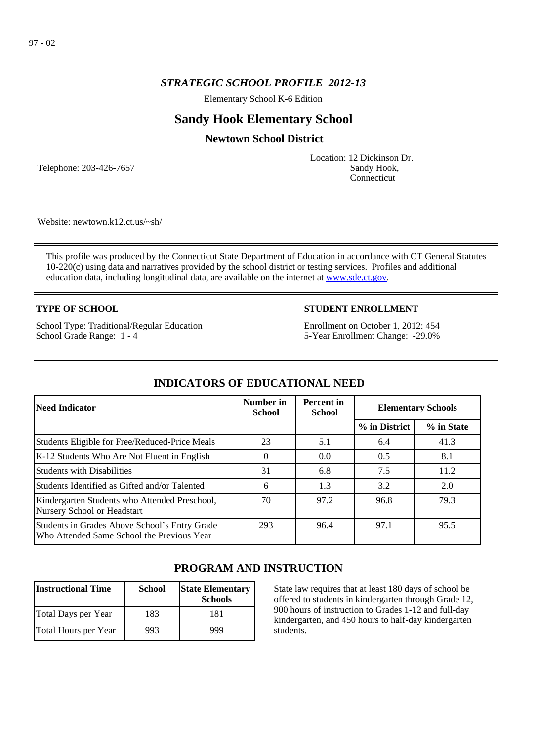## *STRATEGIC SCHOOL PROFILE 2012-13*

Elementary School K-6 Edition

# **Sandy Hook Elementary School**

## **Newtown School District**

Telephone: 203-426-7657

Location: 12 Dickinson Dr. Sandy Hook, **Connecticut** 

Website: newtown.k12.ct.us/~sh/

This profile was produced by the Connecticut State Department of Education in accordance with CT General Statutes 10-220(c) using data and narratives provided by the school district or testing services. Profiles and additional education data, including longitudinal data, are available on the internet at [www.sde.ct.gov](http://www.sde.ct.gov/).

## **TYPE OF SCHOOL**

School Type: Traditional/Regular Education School Grade Range: 1 - 4

## **STUDENT ENROLLMENT**

Enrollment on October 1, 2012: 454 5-Year Enrollment Change: -29.0%

| <b>Need Indicator</b>                                                                       | Number in<br><b>School</b> | <b>Percent</b> in<br><b>School</b> | <b>Elementary Schools</b> |            |
|---------------------------------------------------------------------------------------------|----------------------------|------------------------------------|---------------------------|------------|
|                                                                                             |                            |                                    | % in District             | % in State |
| Students Eligible for Free/Reduced-Price Meals                                              | 23                         | 5.1                                | 6.4                       | 41.3       |
| K-12 Students Who Are Not Fluent in English                                                 | $\Omega$                   | 0.0                                | 0.5                       | 8.1        |
| <b>Students with Disabilities</b>                                                           | 31                         | 6.8                                | 7.5                       | 11.2       |
| Students Identified as Gifted and/or Talented                                               | 6                          | 1.3                                | 3.2                       | 2.0        |
| Kindergarten Students who Attended Preschool,<br>Nursery School or Headstart                | 70                         | 97.2                               | 96.8                      | 79.3       |
| Students in Grades Above School's Entry Grade<br>Who Attended Same School the Previous Year | 293                        | 96.4                               | 97.1                      | 95.5       |

## **INDICATORS OF EDUCATIONAL NEED**

# **PROGRAM AND INSTRUCTION**

| <b>Instructional Time</b> | <b>School</b> | <b>State Elementary</b><br><b>Schools</b> |
|---------------------------|---------------|-------------------------------------------|
| Total Days per Year       | 183           | 181                                       |
| Total Hours per Year      | 993           | 999                                       |

State law requires that at least 180 days of school be offered to students in kindergarten through Grade 12, 900 hours of instruction to Grades 1-12 and full-day kindergarten, and 450 hours to half-day kindergarten students.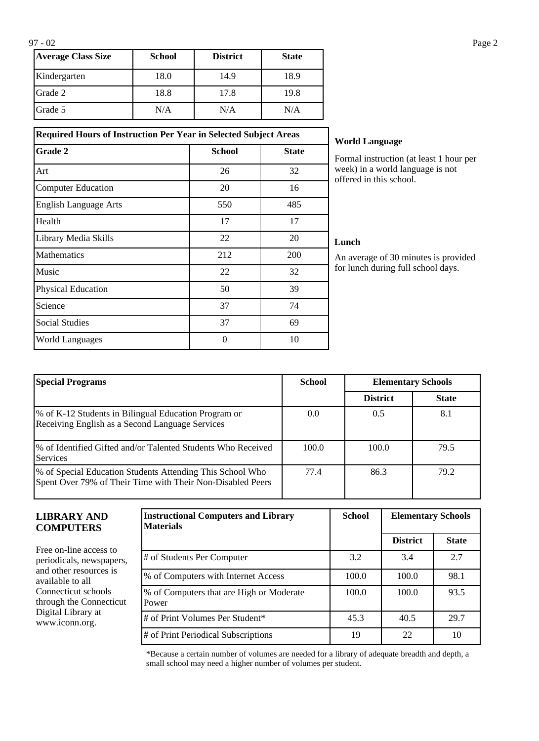| <b>Average Class Size</b> | <b>School</b> | <b>District</b> | <b>State</b> |
|---------------------------|---------------|-----------------|--------------|
| Kindergarten              | 18.0          | 14.9            | 18.9         |
| Grade 2                   | 18.8          | 17.8            | 19.8         |
| Grade 5                   | N/A           | N/A             | N/A          |

**Required Hours of Instruction Per Year in Selected Subject Areas Grade 2 School School State** 

Art 26 26 32 Computer Education 20 16 English Language Arts 550 550 485 Health 17 17 17 Library Media Skills 22 20 Mathematics 212 200 Music  $22$  32 Physical Education 50 50 39 Science 74 Social Studies 69 World Languages and the contract of the 10 and 10 and 10 and 10 and 10 and 10 and 10 and 10 and 10 and 10 and 10 and 10 and 10 and 10 and 10 and 10 and 10 and 10 and 10 and 10 and 10 and 10 and 10 and 10 and 10 and 10 and

### **World Language**

Formal instruction (at least 1 hour per week) in a world language is not offered in this school.

#### **Lunch**

An average of 30 minutes is provided for lunch during full school days.

| <b>Special Programs</b>                                                                                                 | <b>School</b> | <b>Elementary Schools</b> |              |
|-------------------------------------------------------------------------------------------------------------------------|---------------|---------------------------|--------------|
|                                                                                                                         |               | <b>District</b>           | <b>State</b> |
| % of K-12 Students in Bilingual Education Program or<br>Receiving English as a Second Language Services                 | 0.0           | 0.5                       | 8.1          |
| % of Identified Gifted and/or Talented Students Who Received<br><b>Services</b>                                         | 100.0         | 100.0                     | 79.5         |
| % of Special Education Students Attending This School Who<br>Spent Over 79% of Their Time with Their Non-Disabled Peers | 77.4          | 86.3                      | 79.2         |

#### **LIBRARY AND COMPUTERS**

Free on-line access to periodicals, newspapers, and other resources is available to all Connecticut schools through the Connecticut Digital Library at www.iconn.org.

| <b>Instructional Computers and Library</b><br><b>Materials</b> | <b>School</b> | <b>Elementary Schools</b> |              |
|----------------------------------------------------------------|---------------|---------------------------|--------------|
|                                                                |               | <b>District</b>           | <b>State</b> |
| # of Students Per Computer                                     | 3.2           | 3.4                       | 2.7          |
| % of Computers with Internet Access                            | 100.0         | 100.0                     | 98.1         |
| % of Computers that are High or Moderate<br>Power              | 100.0         | 100.0                     | 93.5         |
| # of Print Volumes Per Student*                                | 45.3          | 40.5                      | 29.7         |
| # of Print Periodical Subscriptions                            | 19            | 22                        | 10           |

\*Because a certain number of volumes are needed for a library of adequate breadth and depth, a small school may need a higher number of volumes per student.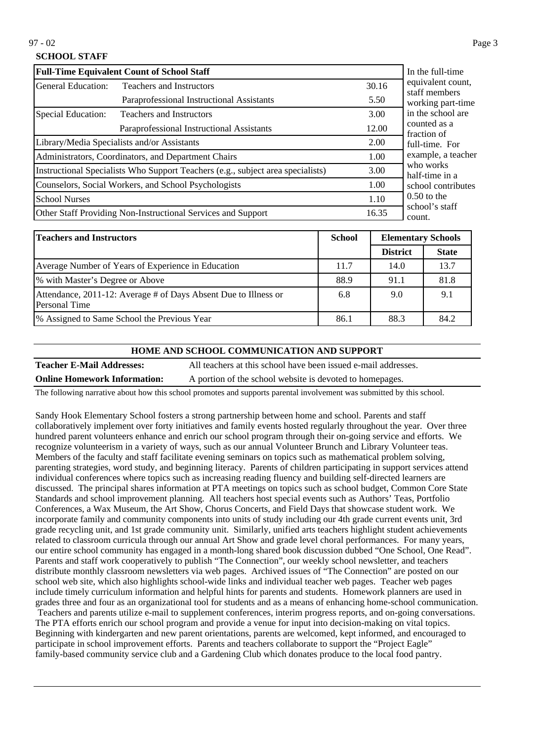97 - 02 Page 3

## **SCHOOL STAFF**

| <b>Full-Time Equivalent Count of School Staff</b>    | In the full-time                                                                |       |                                    |
|------------------------------------------------------|---------------------------------------------------------------------------------|-------|------------------------------------|
| General Education:<br>Teachers and Instructors       |                                                                                 | 30.16 | equivalent count,<br>staff members |
|                                                      | Paraprofessional Instructional Assistants                                       | 5.50  | working part-time                  |
| Special Education:                                   | <b>Teachers and Instructors</b>                                                 | 3.00  | in the school are                  |
| Paraprofessional Instructional Assistants            |                                                                                 | 12.00 | counted as a<br>fraction of        |
| Library/Media Specialists and/or Assistants          |                                                                                 | 2.00  | full-time. For                     |
| Administrators, Coordinators, and Department Chairs  |                                                                                 | 1.00  | example, a teacher                 |
|                                                      | Instructional Specialists Who Support Teachers (e.g., subject area specialists) | 3.00  | who works<br>half-time in a        |
| Counselors, Social Workers, and School Psychologists |                                                                                 | 1.00  | school contributes                 |
| School Nurses                                        |                                                                                 | 1.10  | $0.50$ to the                      |
|                                                      | Other Staff Providing Non-Instructional Services and Support                    | 16.35 | school's staff<br>count.           |

| <b>Teachers and Instructors</b>                                                  |      | <b>Elementary Schools</b> |              |
|----------------------------------------------------------------------------------|------|---------------------------|--------------|
|                                                                                  |      | <b>District</b>           | <b>State</b> |
| Average Number of Years of Experience in Education                               | 11.7 | 14.0                      | 13.7         |
| % with Master's Degree or Above                                                  | 88.9 | 91.1                      | 81.8         |
| Attendance, 2011-12: Average # of Days Absent Due to Illness or<br>Personal Time | 6.8  | 9.0                       | 9.1          |
| <sup>9</sup> % Assigned to Same School the Previous Year                         | 86.1 | 88.3                      | 84.2         |

#### **HOME AND SCHOOL COMMUNICATION AND SUPPORT**

**Teacher E-Mail Addresses:** All teachers at this school have been issued e-mail addresses. **Online Homework Information:** A portion of the school website is devoted to homepages.

The following narrative about how this school promotes and supports parental involvement was submitted by this school.

Sandy Hook Elementary School fosters a strong partnership between home and school. Parents and staff collaboratively implement over forty initiatives and family events hosted regularly throughout the year. Over three hundred parent volunteers enhance and enrich our school program through their on-going service and efforts. We recognize volunteerism in a variety of ways, such as our annual Volunteer Brunch and Library Volunteer teas. Members of the faculty and staff facilitate evening seminars on topics such as mathematical problem solving, parenting strategies, word study, and beginning literacy. Parents of children participating in support services attend individual conferences where topics such as increasing reading fluency and building self-directed learners are discussed. The principal shares information at PTA meetings on topics such as school budget, Common Core State Standards and school improvement planning. All teachers host special events such as Authors' Teas, Portfolio Conferences, a Wax Museum, the Art Show, Chorus Concerts, and Field Days that showcase student work. We incorporate family and community components into units of study including our 4th grade current events unit, 3rd grade recycling unit, and 1st grade community unit. Similarly, unified arts teachers highlight student achievements related to classroom curricula through our annual Art Show and grade level choral performances. For many years, our entire school community has engaged in a month-long shared book discussion dubbed "One School, One Read". Parents and staff work cooperatively to publish "The Connection", our weekly school newsletter, and teachers distribute monthly classroom newsletters via web pages. Archived issues of "The Connection" are posted on our school web site, which also highlights school-wide links and individual teacher web pages. Teacher web pages include timely curriculum information and helpful hints for parents and students. Homework planners are used in grades three and four as an organizational tool for students and as a means of enhancing home-school communication. Teachers and parents utilize e-mail to supplement conferences, interim progress reports, and on-going conversations. The PTA efforts enrich our school program and provide a venue for input into decision-making on vital topics. Beginning with kindergarten and new parent orientations, parents are welcomed, kept informed, and encouraged to participate in school improvement efforts. Parents and teachers collaborate to support the "Project Eagle" family-based community service club and a Gardening Club which donates produce to the local food pantry.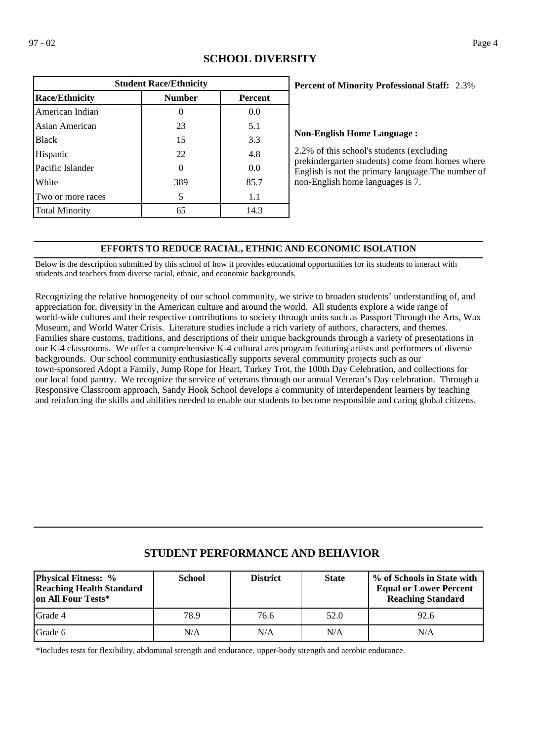| <b>Student Race/Ethnicity</b>                            |     |      |  |  |  |  |
|----------------------------------------------------------|-----|------|--|--|--|--|
| <b>Race/Ethnicity</b><br><b>Number</b><br><b>Percent</b> |     |      |  |  |  |  |
| American Indian                                          |     | 0.0  |  |  |  |  |
| Asian American                                           | 23  | 5.1  |  |  |  |  |
| <b>Black</b>                                             | 15  | 3.3  |  |  |  |  |
| Hispanic                                                 | 22  | 4.8  |  |  |  |  |
| Pacific Islander                                         | 0   | 0.0  |  |  |  |  |
| White                                                    | 389 | 85.7 |  |  |  |  |
| Two or more races                                        | 5   | 1.1  |  |  |  |  |
| <b>Total Minority</b>                                    | 65  | 14.3 |  |  |  |  |

## **SCHOOL DIVERSITY**

## 2.3% **Percent of Minority Professional Staff:**

#### **Non-English Home Language :**

2.2% of this school's students (excluding prekindergarten students) come from homes where English is not the primary language.The number of non-English home languages is 7.

## **EFFORTS TO REDUCE RACIAL, ETHNIC AND ECONOMIC ISOLATION**

Below is the description submitted by this school of how it provides educational opportunities for its students to interact with students and teachers from diverse racial, ethnic, and economic backgrounds.

Recognizing the relative homogeneity of our school community, we strive to broaden students' understanding of, and appreciation for, diversity in the American culture and around the world. All students explore a wide range of world-wide cultures and their respective contributions to society through units such as Passport Through the Arts, Wax Museum, and World Water Crisis. Literature studies include a rich variety of authors, characters, and themes. Families share customs, traditions, and descriptions of their unique backgrounds through a variety of presentations in our K-4 classrooms. We offer a comprehensive K-4 cultural arts program featuring artists and performers of diverse backgrounds. Our school community enthusiastically supports several community projects such as our town-sponsored Adopt a Family, Jump Rope for Heart, Turkey Trot, the 100th Day Celebration, and collections for our local food pantry. We recognize the service of veterans through our annual Veteran's Day celebration. Through a Responsive Classroom approach, Sandy Hook School develops a community of interdependent learners by teaching and reinforcing the skills and abilities needed to enable our students to become responsible and caring global citizens.

# **STUDENT PERFORMANCE AND BEHAVIOR**

| <b>Physical Fitness: %</b><br><b>Reaching Health Standard</b><br>on All Four Tests* | <b>School</b> | <b>District</b> | <b>State</b> | % of Schools in State with<br><b>Equal or Lower Percent</b><br><b>Reaching Standard</b> |
|-------------------------------------------------------------------------------------|---------------|-----------------|--------------|-----------------------------------------------------------------------------------------|
| <b>IGrade 4</b>                                                                     | 78.9          | 76.6            | 52.0         | 92.6                                                                                    |
| <b>IGrade 6</b>                                                                     | N/A           | N/A             | N/A          | N/A                                                                                     |

\*Includes tests for flexibility, abdominal strength and endurance, upper-body strength and aerobic endurance.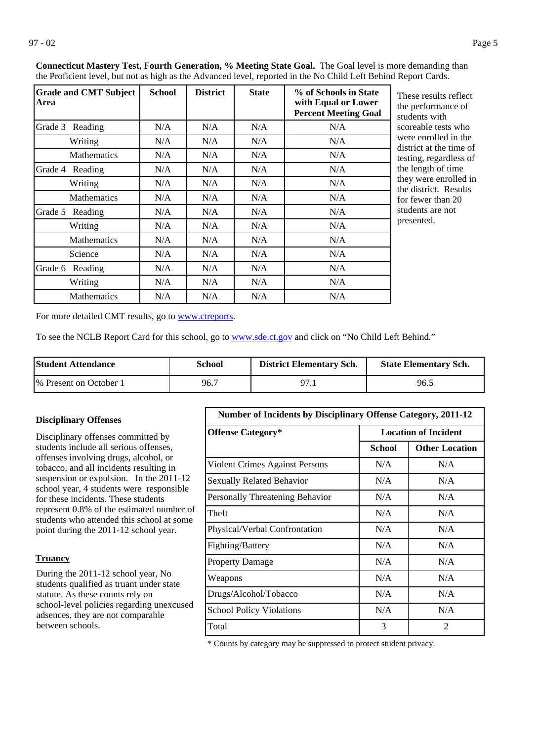| <b>Grade and CMT Subject</b><br>Area | <b>School</b> | <b>District</b> | <b>State</b> | % of Schools in State<br>with Equal or Lower<br><b>Percent Meeting Goal</b> | These results reflect<br>the performance of<br>students with |
|--------------------------------------|---------------|-----------------|--------------|-----------------------------------------------------------------------------|--------------------------------------------------------------|
| Grade 3 Reading                      | N/A           | N/A             | N/A          | N/A                                                                         | scoreable tests who                                          |
| Writing                              | N/A           | N/A             | N/A          | N/A                                                                         | were enrolled in the                                         |
| <b>Mathematics</b>                   | N/A           | N/A             | N/A          | N/A                                                                         | district at the time of<br>testing, regardless of            |
| Reading<br>Grade 4                   | N/A           | N/A             | N/A          | N/A                                                                         | the length of time                                           |
| Writing                              | N/A           | N/A             | N/A          | N/A                                                                         | they were enrolled in<br>the district. Results               |
| <b>Mathematics</b>                   | N/A           | N/A             | N/A          | N/A                                                                         | for fewer than 20                                            |
| Grade 5<br>Reading                   | N/A           | N/A             | N/A          | N/A                                                                         | students are not                                             |
| Writing                              | N/A           | N/A             | N/A          | N/A                                                                         | presented.                                                   |
| <b>Mathematics</b>                   | N/A           | N/A             | N/A          | N/A                                                                         |                                                              |
| Science                              | N/A           | N/A             | N/A          | N/A                                                                         |                                                              |
| Grade 6 Reading                      | N/A           | N/A             | N/A          | N/A                                                                         |                                                              |
| Writing                              | N/A           | N/A             | N/A          | N/A                                                                         |                                                              |
| <b>Mathematics</b>                   | N/A           | N/A             | N/A          | N/A                                                                         |                                                              |

**Connecticut Mastery Test, Fourth Generation, % Meeting State Goal.** The Goal level is more demanding than the Proficient level, but not as high as the Advanced level, reported in the No Child Left Behind Report Cards.

For more detailed CMT results, go to **[www.ctreports](http://www.ctreports/)**.

To see the NCLB Report Card for this school, go to [www.sde.ct.gov](http://www.sde.ct.gov/) and click on "No Child Left Behind."

| <b>Student Attendance</b> | School | <b>District Elementary Sch.</b> | <b>State Elementary Sch.</b> |
|---------------------------|--------|---------------------------------|------------------------------|
| 1\% Present on October 1  | 96.7   | ი7                              | 96.5                         |

### **Disciplinary Offenses**

Disciplinary offenses committed by students include all serious offenses, offenses involving drugs, alcohol, or tobacco, and all incidents resulting in suspension or expulsion. In the 2011-12 school year, 4 students were responsible for these incidents. These students represent 0.8% of the estimated number of students who attended this school at some point during the 2011-12 school year.

#### **Truancy**

During the 2011-12 school year, No students qualified as truant under state statute. As these counts rely on school-level policies regarding unexcused adsences, they are not comparable between schools.

| <b>Number of Incidents by Disciplinary Offense Category, 2011-12</b> |                             |                       |  |  |
|----------------------------------------------------------------------|-----------------------------|-----------------------|--|--|
| <b>Offense Category*</b>                                             | <b>Location of Incident</b> |                       |  |  |
|                                                                      | School                      | <b>Other Location</b> |  |  |
| Violent Crimes Against Persons                                       | N/A                         | N/A                   |  |  |
| <b>Sexually Related Behavior</b>                                     | N/A                         | N/A                   |  |  |
| Personally Threatening Behavior                                      | N/A                         | N/A                   |  |  |
| Theft                                                                | N/A                         | N/A                   |  |  |
| Physical/Verbal Confrontation                                        | N/A                         | N/A                   |  |  |
| Fighting/Battery                                                     | N/A                         | N/A                   |  |  |
| <b>Property Damage</b>                                               | N/A                         | N/A                   |  |  |
| Weapons                                                              | N/A                         | N/A                   |  |  |
| Drugs/Alcohol/Tobacco                                                | N/A                         | N/A                   |  |  |
| <b>School Policy Violations</b>                                      | N/A                         | N/A                   |  |  |
| Total                                                                | 3                           | $\mathfrak{D}$        |  |  |

\* Counts by category may be suppressed to protect student privacy.